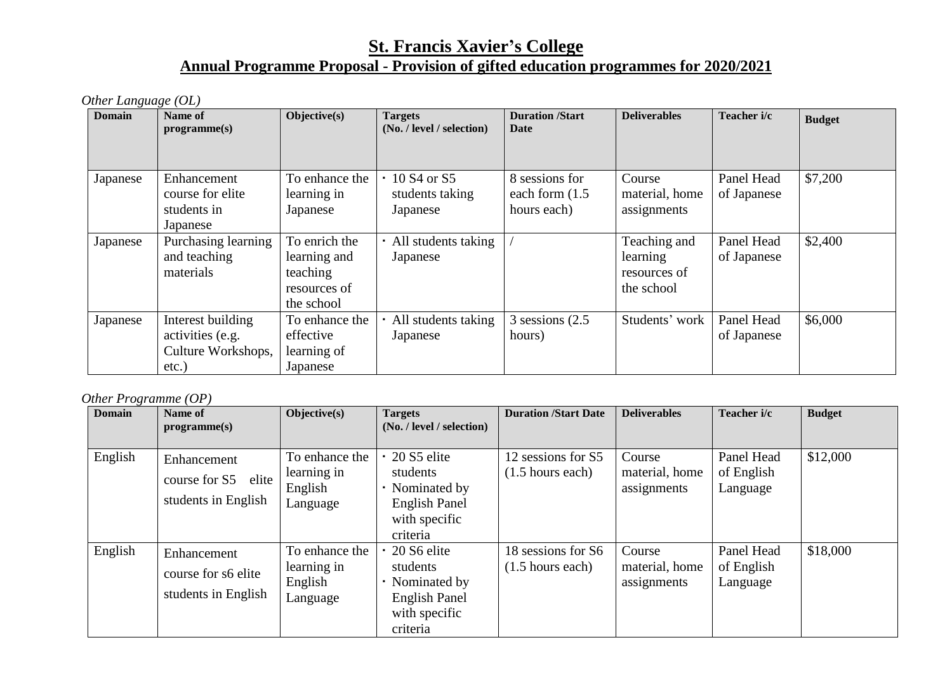## **St. Francis Xavier's College Annual Programme Proposal - Provision of gifted education programmes for 2020/2021**

*Other Language (OL)*

| <b>Domain</b> | Name of<br>programme(s)                                                 | Objective(s)                                                            | <b>Targets</b><br>(No. / level / selection)                        | <b>Duration /Start</b><br>Date                     | <b>Deliverables</b>                                    | Teacher i/c               | <b>Budget</b> |
|---------------|-------------------------------------------------------------------------|-------------------------------------------------------------------------|--------------------------------------------------------------------|----------------------------------------------------|--------------------------------------------------------|---------------------------|---------------|
| Japanese      | Enhancement<br>course for elite<br>students in<br>Japanese              | To enhance the<br>learning in<br>Japanese                               | 10 S <sub>4</sub> or S <sub>5</sub><br>students taking<br>Japanese | 8 sessions for<br>each form $(1.5)$<br>hours each) | Course<br>material, home<br>assignments                | Panel Head<br>of Japanese | \$7,200       |
| Japanese      | Purchasing learning<br>and teaching<br>materials                        | To enrich the<br>learning and<br>teaching<br>resources of<br>the school | All students taking<br>Japanese                                    |                                                    | Teaching and<br>learning<br>resources of<br>the school | Panel Head<br>of Japanese | \$2,400       |
| Japanese      | Interest building<br>activities (e.g.<br>Culture Workshops,<br>$etc.$ ) | To enhance the<br>effective<br>learning of<br>Japanese                  | All students taking<br>Japanese                                    | $3$ sessions $(2.5)$<br>hours)                     | Students' work                                         | Panel Head<br>of Japanese | \$6,000       |

*Other Programme (OP)*

| $\cdot$<br><b>Domain</b> | Name of<br>programme(s)                                      | Objective(s)                                         | <b>Targets</b><br>(No. / level / selection)                                                  | <b>Duration /Start Date</b>                      | <b>Deliverables</b>                     | Teacher i/c                          | <b>Budget</b> |
|--------------------------|--------------------------------------------------------------|------------------------------------------------------|----------------------------------------------------------------------------------------------|--------------------------------------------------|-----------------------------------------|--------------------------------------|---------------|
| English                  | Enhancement<br>course for S5<br>elite<br>students in English | To enhance the<br>learning in<br>English<br>Language | 20 S5 elite<br>students<br>Nominated by<br><b>English Panel</b><br>with specific<br>criteria | 12 sessions for S5<br>$(1.5 \text{ hours each})$ | Course<br>material, home<br>assignments | Panel Head<br>of English<br>Language | \$12,000      |
| English                  | Enhancement<br>course for s6 elite<br>students in English    | To enhance the<br>learning in<br>English<br>Language | 20 S6 elite<br>students<br>Nominated by<br><b>English Panel</b><br>with specific<br>criteria | 18 sessions for S6<br>$(1.5$ hours each)         | Course<br>material, home<br>assignments | Panel Head<br>of English<br>Language | \$18,000      |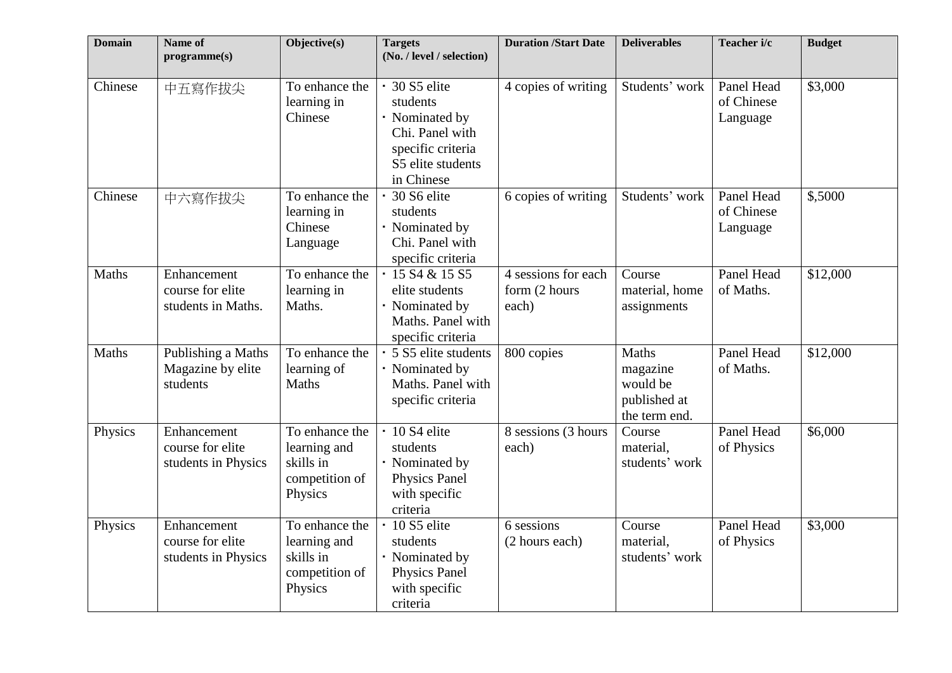| <b>Domain</b> | Name of<br>programme(s)                                | Objective(s)                                                             | <b>Targets</b><br>(No. / level / selection)                                                                            | <b>Duration /Start Date</b>                   | <b>Deliverables</b>                                            | Teacher i/c                          | <b>Budget</b> |
|---------------|--------------------------------------------------------|--------------------------------------------------------------------------|------------------------------------------------------------------------------------------------------------------------|-----------------------------------------------|----------------------------------------------------------------|--------------------------------------|---------------|
| Chinese       | 中五寫作拔尖                                                 | To enhance the<br>learning in<br>Chinese                                 | · 30 S5 elite<br>students<br>· Nominated by<br>Chi. Panel with<br>specific criteria<br>S5 elite students<br>in Chinese | 4 copies of writing                           | Students' work                                                 | Panel Head<br>of Chinese<br>Language | \$3,000       |
| Chinese       | 中六寫作拔尖                                                 | To enhance the<br>learning in<br>Chinese<br>Language                     | 30 S6 elite<br>students<br>· Nominated by<br>Chi. Panel with<br>specific criteria                                      | 6 copies of writing                           | Students' work                                                 | Panel Head<br>of Chinese<br>Language | \$,5000       |
| Maths         | Enhancement<br>course for elite<br>students in Maths.  | To enhance the<br>learning in<br>Maths.                                  | $\cdot$ 15 S4 & 15 S5<br>elite students<br>· Nominated by<br>Maths. Panel with<br>specific criteria                    | 4 sessions for each<br>form (2 hours<br>each) | Course<br>material, home<br>assignments                        | Panel Head<br>of Maths.              | \$12,000      |
| Maths         | Publishing a Maths<br>Magazine by elite<br>students    | To enhance the<br>learning of<br>Maths                                   | · 5 S5 elite students<br>· Nominated by<br>Maths. Panel with<br>specific criteria                                      | 800 copies                                    | Maths<br>magazine<br>would be<br>published at<br>the term end. | Panel Head<br>of Maths.              | \$12,000      |
| Physics       | Enhancement<br>course for elite<br>students in Physics | To enhance the<br>learning and<br>skills in<br>competition of<br>Physics | $\cdot$ 10 S4 elite<br>students<br>· Nominated by<br>Physics Panel<br>with specific<br>criteria                        | $\overline{8}$ sessions (3 hours<br>each)     | Course<br>material,<br>students' work                          | Panel Head<br>of Physics             | \$6,000       |
| Physics       | Enhancement<br>course for elite<br>students in Physics | To enhance the<br>learning and<br>skills in<br>competition of<br>Physics | 10 S5 elite<br>students<br>· Nominated by<br>Physics Panel<br>with specific<br>criteria                                | 6 sessions<br>(2 hours each)                  | Course<br>material,<br>students' work                          | Panel Head<br>of Physics             | \$3,000       |